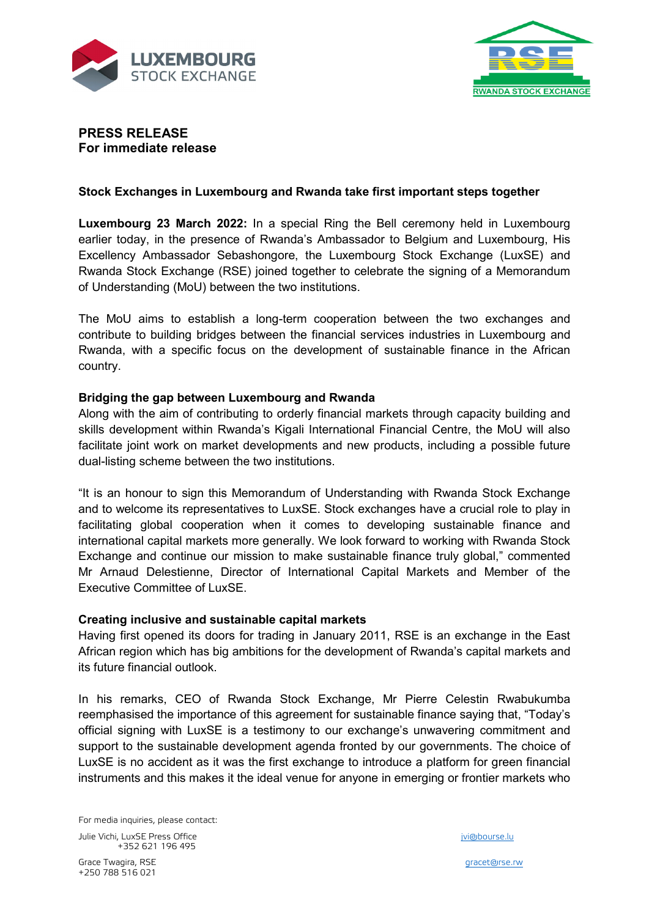



# **PRESS RELEASE For immediate release**

## **Stock Exchanges in Luxembourg and Rwanda take first important steps together**

**Luxembourg 23 March 2022:** In a special Ring the Bell ceremony held in Luxembourg earlier today, in the presence of Rwanda's Ambassador to Belgium and Luxembourg, His Excellency Ambassador Sebashongore, the Luxembourg Stock Exchange (LuxSE) and Rwanda Stock Exchange (RSE) joined together to celebrate the signing of a Memorandum of Understanding (MoU) between the two institutions.

The MoU aims to establish a long-term cooperation between the two exchanges and contribute to building bridges between the financial services industries in Luxembourg and Rwanda, with a specific focus on the development of sustainable finance in the African country.

#### **Bridging the gap between Luxembourg and Rwanda**

Along with the aim of contributing to orderly financial markets through capacity building and skills development within Rwanda's Kigali International Financial Centre, the MoU will also facilitate joint work on market developments and new products, including a possible future dual-listing scheme between the two institutions.

"It is an honour to sign this Memorandum of Understanding with Rwanda Stock Exchange and to welcome its representatives to LuxSE. Stock exchanges have a crucial role to play in facilitating global cooperation when it comes to developing sustainable finance and international capital markets more generally. We look forward to working with Rwanda Stock Exchange and continue our mission to make sustainable finance truly global," commented Mr Arnaud Delestienne, Director of International Capital Markets and Member of the Executive Committee of LuxSE.

## **Creating inclusive and sustainable capital markets**

Having first opened its doors for trading in January 2011, RSE is an exchange in the East African region which has big ambitions for the development of Rwanda's capital markets and its future financial outlook.

In his remarks, CEO of Rwanda Stock Exchange, Mr Pierre Celestin Rwabukumba reemphasised the importance of this agreement for sustainable finance saying that, "Today's official signing with LuxSE is a testimony to our exchange's unwavering commitment and support to the sustainable development agenda fronted by our governments. The choice of LuxSE is no accident as it was the first exchange to introduce a platform for green financial instruments and this makes it the ideal venue for anyone in emerging or frontier markets who

For media inquiries, please contact: Julie Vichi, LuxSE Press Office in the state of the state of the state of the state in the state of the state of the state of the state of the state of the state of the state of the state of the state of the state of the s +352 621 196 495

Grace Twagira, RSE and the contract of the contract of the contract of the contract of the contract of the contract of the contract of the contract of the contract of the contract of the contract of the contract of the con +250 788 516 021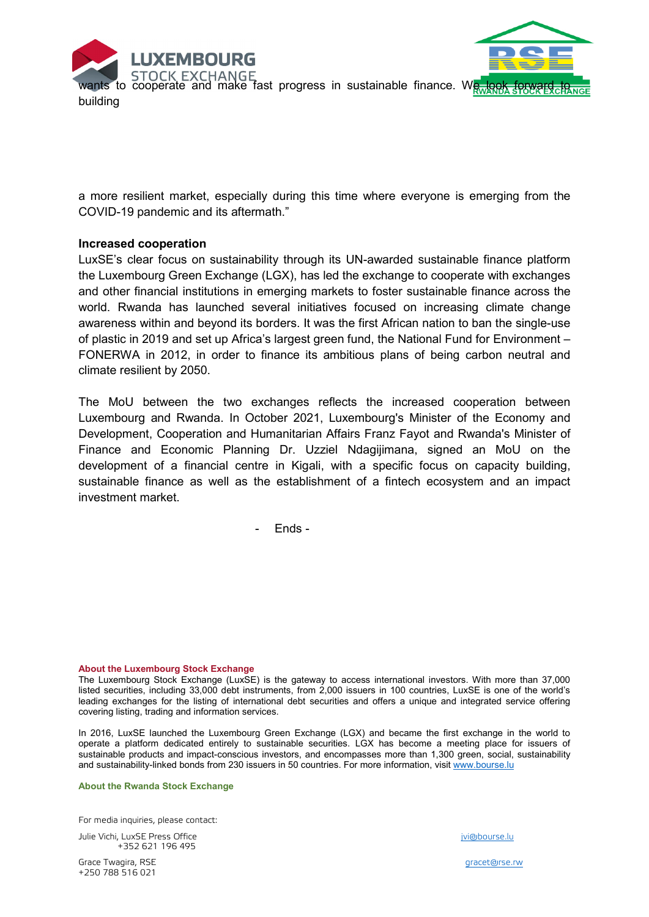



**WANTS STOCK EXCHANGE**<br>to cooperate and make fast progress in sustainable finance. We look building

a more resilient market, especially during this time where everyone is emerging from the COVID-19 pandemic and its aftermath."

#### **Increased cooperation**

LuxSE's clear focus on sustainability through its UN-awarded sustainable finance platform the Luxembourg Green Exchange (LGX), has led the exchange to cooperate with exchanges and other financial institutions in emerging markets to foster sustainable finance across the world. Rwanda has launched several initiatives focused on increasing climate change awareness within and beyond its borders. It was the first African nation to ban the single-use of plastic in 2019 and set up Africa's largest green fund, the National Fund for Environment – FONERWA in 2012, in order to finance its ambitious plans of being carbon neutral and climate resilient by 2050.

The MoU between the two exchanges reflects the increased cooperation between Luxembourg and Rwanda. In October 2021, Luxembourg's Minister of the Economy and Development, Cooperation and Humanitarian Affairs Franz Fayot and Rwanda's Minister of Finance and Economic Planning Dr. Uzziel Ndagijimana, signed an MoU on the development of a financial centre in Kigali, with a specific focus on capacity building, sustainable finance as well as the establishment of a fintech ecosystem and an impact investment market.

- Ends -

#### **About the Luxembourg Stock Exchange**

The Luxembourg Stock Exchange (LuxSE) is the gateway to access international investors. With more than 37,000 listed securities, including 33,000 debt instruments, from 2,000 issuers in 100 countries, LuxSE is one of the world's leading exchanges for the listing of international debt securities and offers a unique and integrated service offering covering listing, trading and information services.

In 2016, LuxSE launched the Luxembourg Green Exchange (LGX) and became the first exchange in the world to operate a platform dedicated entirely to sustainable securities. LGX has become a meeting place for issuers of sustainable products and impact-conscious investors, and encompasses more than 1,300 green, social, sustainability and sustainability-linked bonds from 230 issuers in 50 countries. For more information, visit [www.bourse.lu](http://www.bourse.lu/)

#### **About the Rwanda Stock Exchange**

For media inquiries, please contact:

Julie Vichi, LuxSE Press Office in the state of the state of the state of the state in the state of the state of the state of the state of the state of the state of the state of the state of the state of the state of the s +352 621 196 495

Grace Twagira, RSE and the contract of the contract of the contract of the contract of the contract of the contract of the contract of the contract of the contract of the contract of the contract of the contract of the con +250 788 516 021